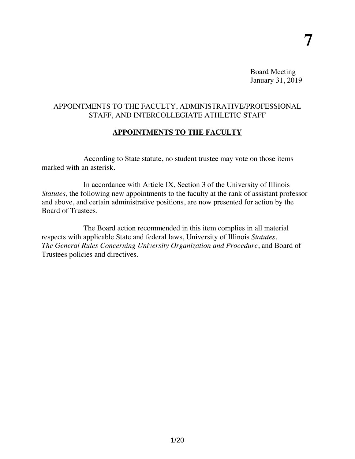Board Meeting January 31, 2019

## APPOINTMENTS TO THE FACULTY, ADMINISTRATIVE/PROFESSIONAL STAFF, AND INTERCOLLEGIATE ATHLETIC STAFF

## **APPOINTMENTS TO THE FACULTY**

According to State statute, no student trustee may vote on those items marked with an asterisk.

In accordance with Article IX, Section 3 of the University of Illinois *Statutes*, the following new appointments to the faculty at the rank of assistant professor and above, and certain administrative positions, are now presented for action by the Board of Trustees.

The Board action recommended in this item complies in all material respects with applicable State and federal laws, University of Illinois *Statutes*, *The General Rules Concerning University Organization and Procedure*, and Board of Trustees policies and directives.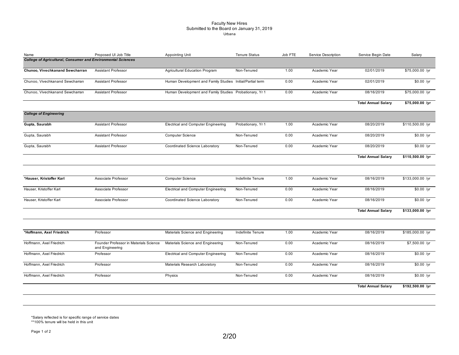#### Faculty New Hires Submitted to the Board on January 31, 2019 Urbana

| Name                                                                | Proposed UI Job Title                                     | Appointing Unit                                           | <b>Tenure Status</b> | Job FTE | Service Description | Service Begin Date         | Salary           |
|---------------------------------------------------------------------|-----------------------------------------------------------|-----------------------------------------------------------|----------------------|---------|---------------------|----------------------------|------------------|
| <b>College of Agricultural, Consumer and Environmental Sciences</b> |                                                           |                                                           |                      |         |                     |                            |                  |
| Chunoo, Vivechkanand Sewcharran                                     | <b>Assistant Professor</b>                                | Agricultural Education Program                            | Non-Tenured          | 1.00    | Academic Year       | 02/01/2019                 | \$75,000.00 /yr  |
| Chunoo, Vivechkanand Sewcharran                                     | <b>Assistant Professor</b>                                | Human Development and Family Studies Initial/Partial term |                      | 0.00    | Academic Year       | 02/01/2019                 | $$0.00$ /yr      |
| Chunoo, Vivechkanand Sewcharran                                     | <b>Assistant Professor</b>                                | Human Development and Family Studies Probationary, Yr 1   |                      | 0.00    | Academic Year       | 08/16/2019                 | \$75,000.00 /yr  |
|                                                                     |                                                           |                                                           |                      |         |                     | <b>Total Annual Salary</b> | \$75,000.00 /yr  |
| <b>College of Engineering</b>                                       |                                                           |                                                           |                      |         |                     |                            |                  |
| Gupta, Saurabh                                                      | <b>Assistant Professor</b>                                | <b>Electrical and Computer Engineering</b>                | Probationary, Yr 1   | 1.00    | Academic Year       | 08/20/2019                 | \$110,500.00 /yr |
| Gupta, Saurabh                                                      | Assistant Professor                                       |                                                           | Non-Tenured          | 0.00    | Academic Year       | 08/20/2019                 | $$0.00$ /yr      |
| Gupta, Saurabh                                                      | <b>Assistant Professor</b>                                | Coordinated Science Laboratory                            | Non-Tenured          | 0.00    | Academic Year       | 08/20/2019                 | $$0.00$ /yr      |
|                                                                     |                                                           |                                                           |                      |         |                     | <b>Total Annual Salary</b> | \$110,500.00 /yr |
|                                                                     |                                                           |                                                           |                      |         |                     |                            |                  |
| *Hauser, Kristoffer Karl                                            | Associate Professor                                       | Computer Science                                          | Indefinite Tenure    | 1.00    | Academic Year       | 08/16/2019                 | \$133,000.00 /yr |
| Hauser, Kristoffer Karl                                             | Associate Professor                                       | <b>Electrical and Computer Engineering</b>                | Non-Tenured          | 0.00    | Academic Year       | 08/16/2019                 | $$0.00$ /yr      |
| Hauser, Kristoffer Karl                                             | Associate Professor                                       | Coordinated Science Laboratory                            | Non-Tenured          | 0.00    | Academic Year       | 08/16/2019                 | $$0.00$ /yr      |
|                                                                     |                                                           |                                                           |                      |         |                     | <b>Total Annual Salary</b> | \$133,000.00 /yr |
|                                                                     |                                                           |                                                           |                      |         |                     |                            |                  |
| *Hoffmann, Axel Friedrich                                           | Professor                                                 | Materials Science and Engineering                         | Indefinite Tenure    | 1.00    | Academic Year       | 08/16/2019                 | \$185,000.00 /yr |
| Hoffmann, Axel Friedrich                                            | Founder Professor in Materials Science<br>and Engineering | Materials Science and Engineering                         | Non-Tenured          | 0.00    | Academic Year       | 08/16/2019                 | \$7,500.00 /yr   |
| Hoffmann, Axel Friedrich                                            | Professor                                                 | <b>Electrical and Computer Engineering</b>                | Non-Tenured          | 0.00    | Academic Year       | 08/16/2019                 | $$0.00$ /yr      |
| Hoffmann, Axel Friedrich                                            | Professor                                                 | Materials Research Laboratory                             | Non-Tenured          | 0.00    | Academic Year       | 08/16/2019                 | $$0.00$ /yr      |
| Hoffmann, Axel Friedrich                                            | Professor                                                 | Physics                                                   | Non-Tenured          | 0.00    | Academic Year       | 08/16/2019                 | $$0.00$ /yr      |
|                                                                     |                                                           |                                                           |                      |         |                     | <b>Total Annual Salary</b> | \$192,500.00 /yr |
|                                                                     |                                                           |                                                           |                      |         |                     |                            |                  |

\*Salary reflected is for specific range of service dates \*\*100% tenure will be held in this unit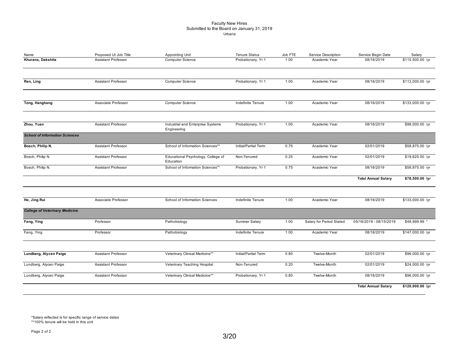### Faculty New Hires Submitted to the Board on January 31, 2019

| Name                                  | Proposed UI Job Title      | Appointing Unit                                  | <b>Tenure Status</b> | Job FTE | Service Description      | Service Begin Date         | Salary           |
|---------------------------------------|----------------------------|--------------------------------------------------|----------------------|---------|--------------------------|----------------------------|------------------|
| Khurana, Dakshita                     | <b>Assistant Professor</b> | <b>Computer Science</b>                          | Probationary, Yr 1   | 1.00    | Academic Year            | 08/16/2019                 | \$115,500.00 /yr |
| Ren, Ling                             | Assistant Professor        | Computer Science                                 | Probationary, Yr 1   | 1.00    | Academic Year            | 08/16/2019                 | \$112,000.00 /yr |
| Tong, Hanghang                        | Associate Professor        | <b>Computer Science</b>                          | Indefinite Tenure    | 1.00    | Academic Year            | 08/16/2019                 | \$133,000.00 /yr |
| Zhou, Yuan                            | <b>Assistant Professor</b> | Industrial and Enterprise Systems<br>Engineering | Probationary, Yr 1   | 1.00    | Academic Year            | 08/16/2019                 | \$98,000.00 /yr  |
| <b>School of Information Sciences</b> |                            |                                                  |                      |         |                          |                            |                  |
| Bosch, Philip N.                      | Assistant Professor        | School of Information Sciences**                 | Initial/Partial Term | 0.75    | Academic Year            | 02/01/2019                 |                  |
| Bosch, Philip N.                      | <b>Assistant Professor</b> | Educational Psychology, College of<br>Education  | Non-Tenured          | 0.25    | Academic Year            | 02/01/2019                 | \$19,625.00 /yr  |
| Bosch, Philip N.                      | Assistant Professor        | School of Information Sciences**                 | Probationary, Yr 1   | 0.75    | Academic Year            | 08/16/2019                 | \$58,875.00 /yr  |
|                                       |                            |                                                  |                      |         |                          | <b>Total Annual Salary</b> | \$78,500.00 /yr  |
| He, Jing Rui                          | Associate Professor        | School of Information Sciences                   | Indefinite Tenure    | 1.00    | Academic Year            | 08/16/2019                 | \$133,000.00 /yr |
| <b>College of Veterinary Medicine</b> |                            |                                                  |                      |         |                          |                            |                  |
| Fang, Ying                            | Professor                  | Pathobiology                                     | Summer Salary        | 1.00    | Salary for Period Stated | 05/16/2019 - 08/15/2019    | \$48,999.99 *    |
| Fang, Ying                            | Professor                  | Pathobiology                                     | Indefinite Tenure    | 1.00    | Academic Year            | 08/16/2019                 | \$147,000.00 /yr |
|                                       |                            |                                                  |                      |         |                          |                            |                  |
| Lundberg, Alycen Paige                | Assistant Professor        | Veterinary Clinical Medicine**                   | Initial/Partial Term | 0.80    | Twelve-Month             | 02/01/2019                 | \$96,000.00 /yr  |
| Lundberg, Alycen Paige                | Assistant Professor        | Veterinary Teaching Hospital                     | Non-Tenured          | 0.20    | Twelve-Month             | 02/01/2019                 | \$24,000.00 /yr  |
| Lundberg, Alycen Paige                | <b>Assistant Professor</b> | Veterinary Clinical Medicine**                   | Probationary, Yr 1   | 0.80    | Twelve-Month             | 08/16/2019                 | \$96,000.00 /yr  |
|                                       |                            |                                                  |                      |         |                          | <b>Total Annual Salary</b> | \$120,000.00 /yr |

\*Salary reflected is for specific range of service dates \*\*100% tenure will be held in this unit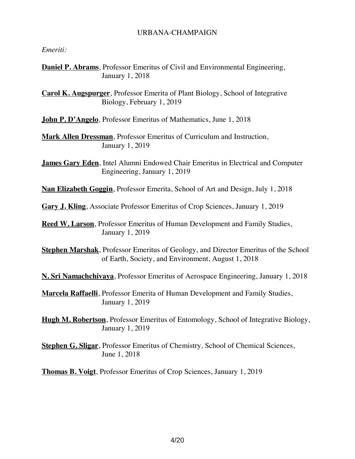### URBANA-CHAMPAIGN

### *Emeriti:*

**Daniel P. Abrams**, Professor Emeritus of Civil and Environmental Engineering, January 1, 2018

**Carol K. Augspurger**, Professor Emerita of Plant Biology, School of Integrative Biology, February 1, 2019

**John P. D'Angelo**, Professor Emeritus of Mathematics, June 1, 2018

**Mark Allen Dressman**, Professor Emeritus of Curriculum and Instruction, January 1, 2019

**James Gary Eden**, Intel Alumni Endowed Chair Emeritus in Electrical and Computer Engineering, January 1, 2019

**Nan Elizabeth Goggin**, Professor Emerita, School of Art and Design, July 1, 2018

**Gary J. Kling**, Associate Professor Emeritus of Crop Sciences, January 1, 2019

**Reed W. Larson**, Professor Emeritus of Human Development and Family Studies, January 1, 2019

**Stephen Marshak**, Professor Emeritus of Geology, and Director Emeritus of the School of Earth, Society, and Environment, August 1, 2018

**N. Sri Namachchivaya**, Professor Emeritus of Aerospace Engineering, January 1, 2018

**Marcela Raffaelli**, Professor Emerita of Human Development and Family Studies, January 1, 2019

**Hugh M. Robertson**, Professor Emeritus of Entomology, School of Integrative Biology, January 1, 2019

**Stephen G. Sligar**, Professor Emeritus of Chemistry, School of Chemical Sciences, June 1, 2018

**Thomas B. Voigt**, Professor Emeritus of Crop Sciences, January 1, 2019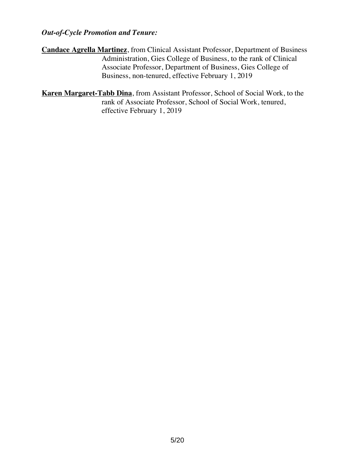## *Out-of-Cycle Promotion and Tenure:*

- **Candace Agrella Martinez**, from Clinical Assistant Professor, Department of Business Administration, Gies College of Business, to the rank of Clinical Associate Professor, Department of Business, Gies College of Business, non-tenured, effective February 1, 2019
- **Karen Margaret-Tabb Dina**, from Assistant Professor, School of Social Work, to the rank of Associate Professor, School of Social Work, tenured, effective February 1, 2019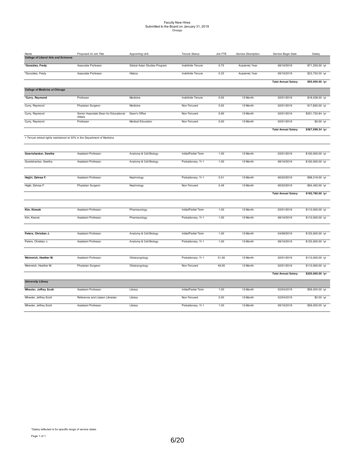# Faculty New Hires Submitted to the Board on January 31, 2019 Chicago

| Name                                                                    | Proposed UI Job Title                            | Appointing Unit              | <b>Tenure Status</b> | Job FTE | Service Description | Service Begin Date         | Salary           |
|-------------------------------------------------------------------------|--------------------------------------------------|------------------------------|----------------------|---------|---------------------|----------------------------|------------------|
| <b>College of Liberal Arts and Sciences</b>                             |                                                  |                              |                      |         |                     |                            |                  |
| *González, Fredy                                                        | Associate Professor                              | Global Asian Studies Program | Indefinite Tenure    | 0.75    | Academic Year       | 08/16/2019                 | \$71,250.00 /yr  |
| *González, Fredy                                                        | Associate Professor                              | History                      | Indefinite Tenure    | 0.25    | Academic Year       | 08/16/2019                 | \$23,750.00 /yr  |
|                                                                         |                                                  |                              |                      |         |                     | <b>Total Annual Salary</b> | \$95,000.00 /yr  |
| <b>College of Medicine at Chicago</b>                                   |                                                  |                              |                      |         |                     |                            |                  |
| *Curry, Raymond                                                         | Professor                                        | Medicine                     | Indefinite Tenure    | 0.05    | 12-Month            | 02/01/2019                 | \$18,028.50 /yr  |
| Curry, Raymond                                                          | Physician Surgeon                                | Medicine                     | Non-Tenured          | 0.05    | 12-Month            | 02/01/2019                 | \$17,850.00 /yr  |
| Curry, Raymond                                                          | Senior Associate Dean for Educational<br>Affairs | Dean's Office                | Non-Tenured          | 0.90    | 12-Month            | 02/01/2019                 | \$331,720.84 /yr |
| Curry, Raymond                                                          | Professor                                        | <b>Medical Education</b>     | Non-Tenured          | 0.00    | 12-Month            | 02/01/2019                 | \$0.00 /yr       |
|                                                                         |                                                  |                              |                      |         |                     | <b>Total Annual Salary</b> | \$367,599.34 /yr |
| + Tenure retreat rights maintained at 30% in the Department of Medicine |                                                  |                              |                      |         |                     |                            |                  |
|                                                                         |                                                  |                              |                      |         |                     |                            |                  |
| Gowrishankar, Swetha                                                    | <b>Assistant Professor</b>                       | Anatomy & Cell Biology       | Initial/Partial Term | 1.00    | 12-Month            | 03/01/2019                 | \$100,000.00 /yr |
| Gowrishankar, Swetha                                                    | Assistant Professor                              | Anatomy & Cell Biology       | Probationary, Yr 1   | 1.00    | 12-Month            | 08/16/2019                 | \$100,000.00 /yr |
|                                                                         |                                                  |                              |                      |         |                     |                            |                  |
| Hajjiri, Zahraa F.                                                      | Assistant Professor                              | Nephrology                   | Probationary, Yr 1   | 0.51    | 12-Month            | 06/22/2019                 | \$98,318.00 /yr  |
| Hajjiri, Zahraa F.                                                      | Physician Surgeon                                | Nephrology                   | Non-Tenured          | 0.49    | 12-Month            | 06/22/2019                 | \$94,462.00 /yr  |
|                                                                         |                                                  |                              |                      |         |                     | <b>Total Annual Salary</b> | \$192,780.00 /yr |
|                                                                         |                                                  |                              |                      |         |                     |                            |                  |
| Kim, Kiwook                                                             | <b>Assistant Professor</b>                       | Pharmacology                 | Initial/Partial Term | 1.00    | 12-Month            | 03/01/2019                 | \$110,000.00 /yr |
| Kim, Kiwook                                                             | Assistant Professor                              | Pharmacology                 | Probationary, Yr 1   | 1.00    | 12-Month            | 08/16/2019                 | \$110,000.00 /yr |
|                                                                         |                                                  |                              |                      |         |                     |                            |                  |
| Peters, Christian J.                                                    | Assistant Professor                              | Anatomy & Cell Biology       | Initial/Partial Term | 1.00    | 12-Month            | 04/08/2019                 | \$125,000.00 /yr |
| Peters, Christian J.                                                    | Assistant Professor                              | Anatomy & Cell Biology       | Probationary, Yr 1   | 1.00    | 12-Month            | 08/16/2019                 | \$125,000.00 /yr |
|                                                                         |                                                  |                              |                      |         |                     |                            |                  |
| Weinreich, Heather M.                                                   | Assistant Professor                              | Otolaryngology               | Probationary, Yr 1   | 51.00   | 12-Month            | 02/01/2019                 | \$110,000.00 /yr |
| Weinreich, Heather M.                                                   | Physician Surgeon                                | Otolaryngology               | Non-Tenured          | 49.00   | 12-Month            | 02/01/2019                 | \$110,000.00 /yr |
|                                                                         |                                                  |                              |                      |         |                     | <b>Total Annual Salary</b> | \$220,000.00 /yr |
| <b>University Library</b>                                               |                                                  |                              |                      |         |                     |                            |                  |
| Wheeler, Jeffrey Scott                                                  | Assistant Professor                              | Library                      | Initial/Partial Term | 1.00    | 12-Month            | 02/04/2019                 | \$58,000.00 /yr  |
| Wheeler, Jeffrey Scott                                                  | Reference and Liaison Librarian                  | Library                      | Non-Tenured          | 0.00    | 12-Month            | 02/04/2019                 | \$0.00 /yr       |
| Wheeler, Jeffrey Scott                                                  | <b>Assistant Professor</b>                       | Library                      | Probationary, Yr 1   | 1.00    | 12-Month            | 08/16/2019                 | \$58,000.00 /yr  |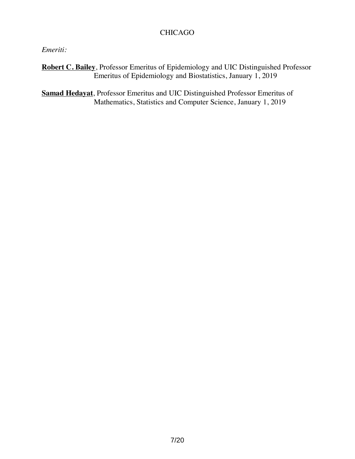# CHICAGO

# *Emeriti:*

**Robert C. Bailey**, Professor Emeritus of Epidemiology and UIC Distinguished Professor Emeritus of Epidemiology and Biostatistics, January 1, 2019

**Samad Hedayat**, Professor Emeritus and UIC Distinguished Professor Emeritus of Mathematics, Statistics and Computer Science, January 1, 2019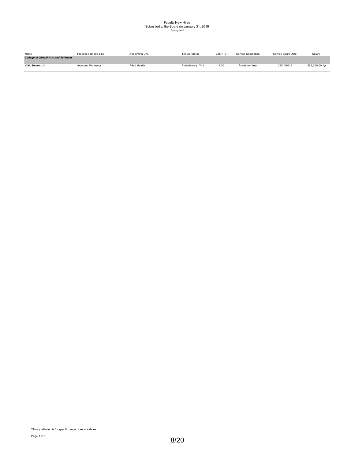# Faculty New Hires Submitted to the Board on January 31, 2019 Springfield

| Name                                        | Proposed UI Job Title | Appointing Unit | <b>Tenure Status</b> | Job FTE | Service Description | Service Begin Date | Salarv          |
|---------------------------------------------|-----------------------|-----------------|----------------------|---------|---------------------|--------------------|-----------------|
| <b>College of Liberal Arts and Sciences</b> |                       |                 |                      |         |                     |                    |                 |
| Vitti, Steven, Jr                           | Assistant Professor   | Allied Health   | Probationary, Yr 1   | 1.00    | Academic Year       | 02/01/2019         | \$58,000.00 /yr |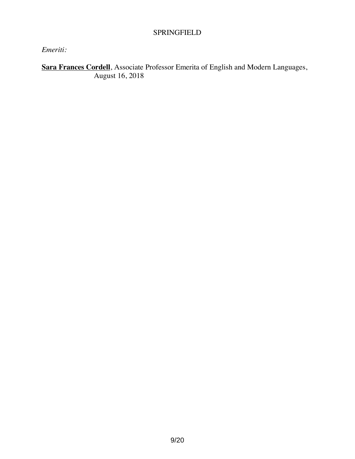## SPRINGFIELD

# *Emeriti:*

**Sara Frances Cordell**, Associate Professor Emerita of English and Modern Languages, August 16, 2018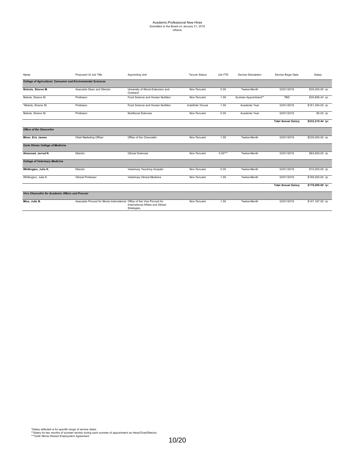# Academic Professional New Hires Submitted to the Board on January 31, 2019 Urbana

| Name                                                                | Proposed UI Job Title                                                       | Appointing Unit                                  | <b>Tenure Status</b> | Job FTE   | Service Description  | Service Begin Date         | Salary           |
|---------------------------------------------------------------------|-----------------------------------------------------------------------------|--------------------------------------------------|----------------------|-----------|----------------------|----------------------------|------------------|
| <b>College of Agricultural, Consumer and Environmental Sciences</b> |                                                                             |                                                  |                      |           |                      |                            |                  |
| Nickols, Sharon M.                                                  | Associate Dean and Director                                                 | University of Illinois Extension and<br>Outreach | Non-Tenured          | 0.00      | Twelve-Month         | 02/01/2019                 | \$35,000.00 /yr  |
| Nickols, Sharon M.                                                  | Professor                                                                   | Food Science and Human Nutrition                 | Non-Tenured          | 1.00      | Summer Appointment** | TBD                        | \$35,856.44 /yr  |
| *Nickols, Sharon M.                                                 | Professor                                                                   | Food Science and Human Nutrition                 | Indefinite Tenure    | 1.00      | Academic Year        | 02/01/2019                 | \$161,354.00 /yr |
| Nickols, Sharon M.                                                  | Professor                                                                   | <b>Nutritional Sciences</b>                      | Non-Tenured          | 0.00      | Academic Year        | 02/01/2019                 | $$0.00$ /yr      |
|                                                                     |                                                                             |                                                  |                      |           |                      | <b>Total Annual Salary</b> | \$232,210.44 /yr |
| <b>Office of the Chancellor</b>                                     |                                                                             |                                                  |                      |           |                      |                            |                  |
| Minor, Eric James                                                   | Chief Marketing Officer                                                     | Office of the Chancellor                         | Non-Tenured          | 1.00      | Twelve-Month         | 02/01/2019                 | \$230,000.00 /yr |
| <b>Carle Illinois College of Medicine</b>                           |                                                                             |                                                  |                      |           |                      |                            |                  |
| Almaroad, Jarrod N.                                                 | Director                                                                    | <b>Clinical Sciences</b>                         | Non-Tenured          | $0.00***$ | Twelve-Month         | 02/01/2019                 | \$93,600.00 /yr  |
| <b>College of Veterinary Medicine</b>                               |                                                                             |                                                  |                      |           |                      |                            |                  |
| Whittington, Julia K.                                               | Director                                                                    | Veterinary Teaching Hospital                     | Non-Tenured          | 0.00      | Twelve-Month         | 02/01/2019                 | \$10,000.00 /yr  |
| Whittington, Julia K.                                               | <b>Clinical Professor</b>                                                   | Veterinary Clinical Medicine                     | Non-Tenured          | 1.00      | Twelve-Month         | 02/01/2019                 | \$169,000.00 /yr |
|                                                                     |                                                                             |                                                  |                      |           |                      | <b>Total Annual Salary</b> | \$179,000.00 /yr |
| <b>Vice Chancellor for Academic Affairs and Provost</b>             |                                                                             |                                                  |                      |           |                      |                            |                  |
| Misa, Julie B.                                                      | Associate Provost for Illinois International Office of the Vice Provost for | International Affairs and Global<br>Strategies   | Non-Tenured          | 1.00      | Twelve-Month         | 02/01/2019                 | \$147,187.00 /yr |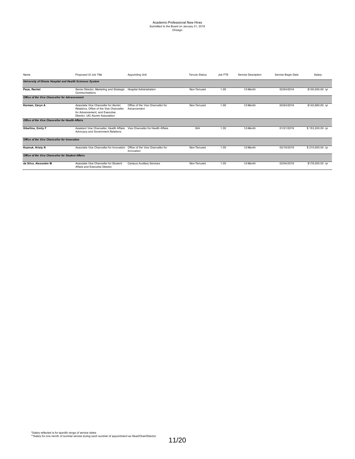| Name                                                       | Proposed UI Job Title                                                                                                                                  | Appointing Unit                                  | <b>Tenure Status</b><br>Job FTE<br>Service Description |      |          | Service Begin Date | Salary           |  |
|------------------------------------------------------------|--------------------------------------------------------------------------------------------------------------------------------------------------------|--------------------------------------------------|--------------------------------------------------------|------|----------|--------------------|------------------|--|
| University of Illinois Hospital and Health Sciences System |                                                                                                                                                        |                                                  |                                                        |      |          |                    |                  |  |
| Paus, Rachel                                               | Senior Director, Marketing and Strategic<br>Communications                                                                                             | <b>Hospital Administration</b>                   | Non-Tenured                                            | 1.00 | 12-Month | 02/04/2019         | \$135,000.00 /yr |  |
| Office of the Vice Chancellor for Advancement              |                                                                                                                                                        |                                                  |                                                        |      |          |                    |                  |  |
| Korman, Caryn A                                            | Associate Vice Chancellor for Alumni<br>Relations. Office of the Vice Chancellor<br>for Advancement, and Executive<br>Director, UIC Alumni Association | Office of the Vice Chancellor for<br>Advancement | Non-Tenured                                            | 1.00 | 12-Month | 02/04/2019         | \$142,660.00 /yr |  |
| Office of the Vice Chancellor for Health Affairs           |                                                                                                                                                        |                                                  |                                                        |      |          |                    |                  |  |
| Gibellina, Emily F                                         | Assistant Vice Chancellor, Health Affairs<br>Advocacy and Government Relations                                                                         | Vice Chancellor for Health Affairs               | N/A                                                    | 1.00 | 12-Month | 01/21/2019         | \$153,200.00 /yr |  |
| Office of the Vice Chancellor for Innovation               |                                                                                                                                                        |                                                  |                                                        |      |          |                    |                  |  |
| Kuzmuk, Kristy N                                           | Associate Vice Chancellor for Innovation                                                                                                               | Office of the Vice Chancellor for<br>Innovation  | Non-Tenured                                            | 1.00 | 12-Month | 02/16/2019         | \$210,000.00 /yr |  |
| <b>Office of the Vice Chancellor for Student Affairs</b>   |                                                                                                                                                        |                                                  |                                                        |      |          |                    |                  |  |
| da Silva, Alexandre M                                      | Associate Vice Chancellor for Student<br>Affairs and Executive Director                                                                                | <b>Campus Auxiliary Services</b>                 | Non-Tenured                                            | 1.00 | 12-Month | 02/04/2019         | \$178,000.00 /yr |  |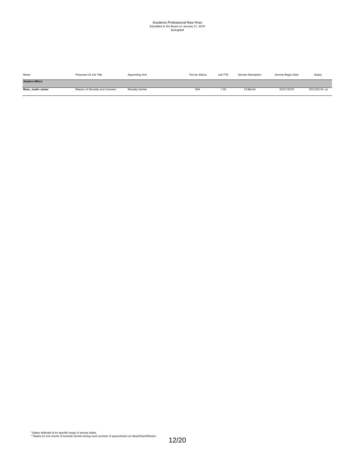# Academic Professional New Hires Submitted to the Board on January 31, 2019 Springfield

| Name                   | Proposed UI Job Title               | Appointing Unit         | <b>Tenure Status</b> | Job FTE | Service Description | Service Begin Date | Salary          |
|------------------------|-------------------------------------|-------------------------|----------------------|---------|---------------------|--------------------|-----------------|
| <b>Student Affairs</b> |                                     |                         |                      |         |                     |                    |                 |
| Rose, Justin Jamar     | Director of Diversity and Inclusion | <b>Diversity Center</b> | N/A                  | 1.00    | 12-Month            | 02/01/2019         | \$70,000.00 /yr |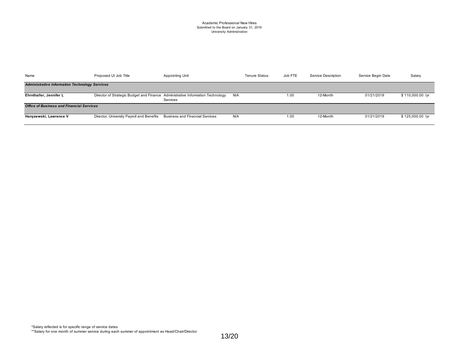#### Academic Professional New Hires Submitted to the Board on January 31, 2019 University Administration

| Name                                                  | Proposed UI Job Title                                                          | Appointing Unit                        | <b>Tenure Status</b> | Job FTE | Service Description | Service Begin Date | Salary           |
|-------------------------------------------------------|--------------------------------------------------------------------------------|----------------------------------------|----------------------|---------|---------------------|--------------------|------------------|
| <b>Administrative Information Technology Services</b> |                                                                                |                                        |                      |         |                     |                    |                  |
| Ehrnthaller, Jennifer L                               | Director of Strategic Budget and Finance Administrative Information Technology | Services                               | N/A                  | 1.00    | 12-Month            | 01/21/2019         | \$110,000.00 /yr |
| <b>Office of Business and Financial Services</b>      |                                                                                |                                        |                      |         |                     |                    |                  |
| Hanyzewski, Lawrence V                                | Director, University Payroll and Benefits                                      | <b>Business and Financial Services</b> | N/A                  | 1.00    | 12-Month            | 01/21/2019         | \$125,000.00 /yr |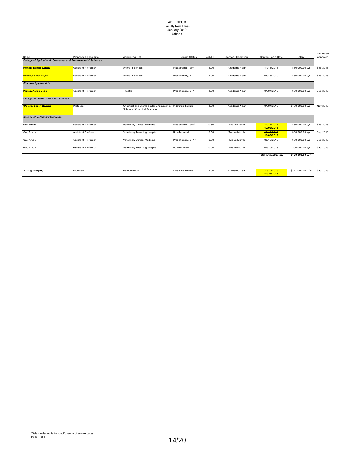# ADDENDUM Faculty New Hires January 2019 Urbana

| Name                                        | Proposed UI Job Title                                               | Appointing Unit                                                       | <b>Tenure Status</b>  | Job FTE | Service Description | Service Begin Date         | Salarv              | Previously<br>approved |
|---------------------------------------------|---------------------------------------------------------------------|-----------------------------------------------------------------------|-----------------------|---------|---------------------|----------------------------|---------------------|------------------------|
|                                             | <b>College of Agricultural, Consumer and Environmental Sciences</b> |                                                                       |                       |         |                     |                            |                     |                        |
| <b>McKim, Daniel Boyce</b>                  | <b>Assistant Professor</b>                                          | Animal Sciences                                                       | Initial/Partial Term  | 1.00    | Academic Year       | 11/16/2018                 | \$80,000.00 /yr     | Sep 2018               |
| McKim, Daniel Boyce                         | <b>Assistant Professor</b>                                          | Animal Sciences                                                       | Probationary, Yr 1    | 1.00    | Academic Year       | 08/16/2019                 | \$80,000.00 /yr     | Sep 2018               |
| <b>Fine and Applied Arts</b>                |                                                                     |                                                                       |                       |         |                     |                            |                     |                        |
| <b>Munoz. Aaron Jose</b>                    | <b>Assistant Professor</b>                                          | Theatre                                                               | Probationary, Yr 1    | 1.00    | Academic Year       | 01/01/2019                 | \$60,000.00 /yr     | Sep 2018               |
| <b>College of Liberal Arts and Sciences</b> |                                                                     |                                                                       |                       |         |                     |                            |                     |                        |
| *Peters, Baron Gabriel                      | Professor                                                           | Chemical and Biomolecular Engineering,<br>School of Chemical Sciences | Indefinite Tenure     | 1.00    | Academic Year       | 01/01/2019                 | \$150,000.00 /yr    | Nov 2018               |
| <b>College of Veterinary Medicine</b>       |                                                                     |                                                                       |                       |         |                     |                            |                     |                        |
| Gal, Arnon                                  | <b>Assistant Professor</b>                                          | Veterinary Clinical Medicine                                          | Initial/Partial Term* | 0.50    | Twelve-Month        | 10/16/2018<br>12/03/2018   | \$60,000.00 /yr     | Sep 2018               |
| Gal, Amon                                   | <b>Assistant Professor</b>                                          | Veterinary Teaching Hospital                                          | Non-Tenured           | 0.50    | Twelve-Month        | 10/16/2018<br>12/03/2018   | \$60,000.00 /yr     | Sep 2018               |
| Gal, Amon                                   | <b>Assistant Professor</b>                                          | Veterinary Clinical Medicine                                          | Probationary, Yr 1*   | 0.50    | Twelve-Month        | 08/16/2019                 | \$60,000.00 /yr     | Sep 2018               |
| Gal, Amon                                   | <b>Assistant Professor</b>                                          | Veterinary Teaching Hospital                                          | Non-Tenured           | 0.50    | Twelve-Month        | 08/16/2019                 | \$60,000.00 /yr     | Sep 2018               |
|                                             |                                                                     |                                                                       |                       |         |                     | <b>Total Annual Salary</b> | \$120,000.00 /yr    |                        |
|                                             |                                                                     |                                                                       |                       |         |                     |                            |                     |                        |
| *Zhang, Weiping                             | Professor                                                           | Pathobiology                                                          | Indefinite Tenure     | 1.00    | Academic Year       | 44/16/2018<br>11/26/2018   | \$147,000.00<br>/vr | Sep 2018               |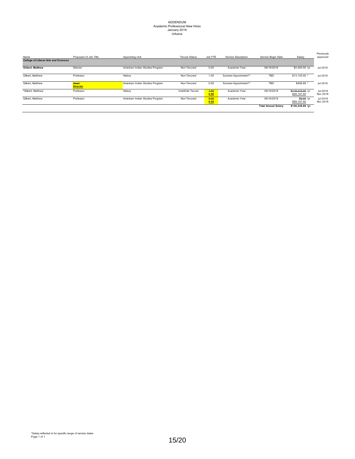# ADDENDUM Academic Professional New Hires January 2019 Urbana

| Name                                        | Proposed UI Job Title   | Appointing Unit                 | <b>Tenure Status</b> | Job FTE      | Service Description  | Service Begin Date         | Salary                          | Previously<br>approved |
|---------------------------------------------|-------------------------|---------------------------------|----------------------|--------------|----------------------|----------------------------|---------------------------------|------------------------|
| <b>College of Liberal Arts and Sciences</b> |                         |                                 |                      |              |                      |                            |                                 |                        |
| <b>Gilbert. Matthew</b>                     | Director                | American Indian Studies Program | Non-Tenured          | 0.00         | Academic Year        | 08/16/2018                 | \$4,400.00 /vr                  | Jul 2018               |
| Gilbert. Matthew                            | Professor               | History                         | Non-Tenured          | 1.00         | Summer Appointment** | <b>TBD</b>                 | \$13,135.00                     | Jul 2018               |
| Gilbert. Matthew                            | Head<br><b>Director</b> | American Indian Studies Program | Non-Tenured          | 0.00         | Summer Appointment** | <b>TBD</b>                 | \$488.89 *                      | Jul 2018               |
| *Gilbert, Matthew                           | Professor               | History                         | Indefinite Tenure    | 4.00<br>0.50 | Academic Year        | 08/16/2018                 | \$118,215.00 /yr<br>\$59,107.50 | Jul 2018<br>Nov 2018   |
| Gilbert. Matthew                            | Professor               | American Indian Studies Program | Non-Tenured          | 0.00<br>0.50 | Academic Year        | 08/16/2018                 | \$0.00 /vr<br>\$59,107.50       | Jul 2018<br>Nov 2018   |
|                                             |                         |                                 |                      |              |                      | <b>Total Annual Salary</b> | \$136,238.89 /yr                |                        |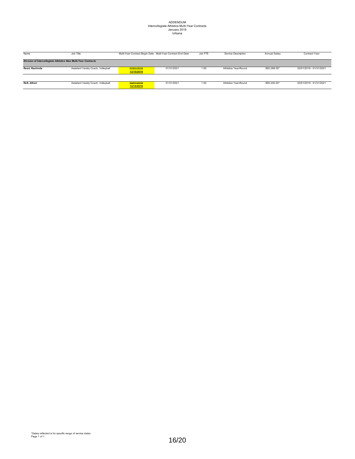# ADDENDUM Intercollegiate Athletics Multi-Year Contracts January 2019 Urbana

| Name                                                           | Job Title                           | Multi-Year Contract Begin Date Multi-Year Contract End Date |            | Job FTE | Service Description  | Annual Salary | Contract Year           |  |  |  |
|----------------------------------------------------------------|-------------------------------------|-------------------------------------------------------------|------------|---------|----------------------|---------------|-------------------------|--|--|--|
|                                                                |                                     |                                                             |            |         |                      |               |                         |  |  |  |
| Division of Intercollegiate Athletics New Multi-Year Contracts |                                     |                                                             |            |         |                      |               |                         |  |  |  |
|                                                                |                                     |                                                             |            |         |                      |               |                         |  |  |  |
| Reed, Rashinda                                                 | Assistant Varsity Coach, Volleyball | 02/01/2019                                                  | 01/31/2021 | 1.00    | Athletics Year-Round | \$92,288.00*  | 02/01/2019 - 01/31/2021 |  |  |  |
|                                                                |                                     | 12/15/2018                                                  |            |         |                      |               |                         |  |  |  |
|                                                                |                                     |                                                             |            |         |                      |               |                         |  |  |  |
|                                                                |                                     |                                                             |            |         |                      |               |                         |  |  |  |
| <b>Reft. Alfred</b>                                            | Assistant Varsity Coach, Volleyball | 02/01/2019                                                  | 01/31/2021 | 1.00    | Athletics Year-Round | \$95,200.00*  | 02/01/2019 - 01/31/2021 |  |  |  |
|                                                                |                                     | 12/15/2018                                                  |            |         |                      |               |                         |  |  |  |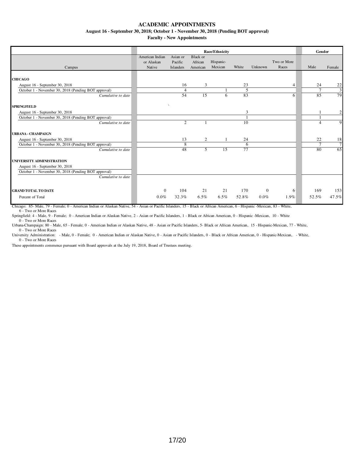**August 16 - September 30, 2018; October 1 - November 30, 2018 (Pending BOT approval)**

**Faculty - New Appointments**

|                                                                                        | <b>Race/Ethnicity</b>                   |                                         |                                        |                      |                |              |                      |                      | Gender               |
|----------------------------------------------------------------------------------------|-----------------------------------------|-----------------------------------------|----------------------------------------|----------------------|----------------|--------------|----------------------|----------------------|----------------------|
| Campus                                                                                 | American Indian<br>or Alaskan<br>Native | Asian or<br>Pacific<br><b>Islanders</b> | <b>Black</b> or<br>African<br>American | Hispanic-<br>Mexican | White          | Unknown      | Two or More<br>Races | Male                 | Female               |
|                                                                                        |                                         |                                         |                                        |                      |                |              |                      |                      |                      |
| <b>CHICAGO</b>                                                                         |                                         |                                         |                                        |                      |                |              |                      |                      |                      |
| August 16 - September 30, 2018                                                         |                                         | 16                                      | 3                                      |                      | 23             |              | $\overline{4}$       | 24                   | $\frac{22}{3}$       |
| October 1 - November 30, 2018 (Pending BOT approval)                                   |                                         | $\overline{4}$                          |                                        |                      | $\overline{5}$ |              |                      | 7                    |                      |
| Cumulative to date                                                                     |                                         | 54                                      | 15                                     | 6                    | 83             |              | 6                    | 85                   | 79                   |
| <b>SPRINGFIELD</b>                                                                     |                                         | $\sim$                                  |                                        |                      |                |              |                      |                      |                      |
| August 16 - September 30, 2018                                                         |                                         |                                         |                                        |                      | 3              |              |                      |                      | $\boldsymbol{2}$     |
| October 1 - November 30, 2018 (Pending BOT approval)                                   |                                         |                                         |                                        |                      |                |              |                      |                      |                      |
| Cumulative to date                                                                     |                                         | $\overline{2}$                          |                                        |                      | 10             |              |                      | $\Delta$             | 9                    |
|                                                                                        |                                         |                                         |                                        |                      |                |              |                      |                      |                      |
| <b>URBANA - CHAMPAIGN</b>                                                              |                                         |                                         |                                        |                      |                |              |                      |                      |                      |
| August 16 - September 30, 2018<br>October 1 - November 30, 2018 (Pending BOT approval) |                                         | 13<br>8                                 | 2                                      |                      | 24<br>6        |              |                      | 22<br>$\overline{7}$ | 18<br>$\overline{7}$ |
| Cumulative to date                                                                     |                                         | 48                                      | $\mathcal{F}$                          | $\overline{15}$      | 77             |              |                      | 80                   | 65                   |
|                                                                                        |                                         |                                         |                                        |                      |                |              |                      |                      |                      |
| UNIVERSITY ADMINISTRATION                                                              |                                         |                                         |                                        |                      |                |              |                      |                      |                      |
| August 16 - September 30, 2018                                                         |                                         |                                         |                                        |                      |                |              |                      |                      |                      |
| October 1 - November 30, 2018 (Pending BOT approval)                                   |                                         |                                         |                                        |                      |                |              |                      |                      |                      |
| Cumulative to date                                                                     |                                         |                                         |                                        |                      |                |              |                      |                      |                      |
|                                                                                        |                                         |                                         |                                        |                      |                |              |                      |                      |                      |
| <b>GRAND TOTAL TO DATE</b>                                                             | $\overline{0}$                          | 104                                     | 21                                     | 21                   | 170            | $\mathbf{0}$ | 6                    | 169                  | 153                  |
| Percent of Total                                                                       | $0.0\%$                                 | 32.3%                                   | $6.5\%$                                | $6.5\%$              | 52.8%          | $0.0\%$      | 1.9%                 | 52.5%                | 47.5%                |

Chicago: 85- Male, 79 - Female; 0 - American Indian or Alaskan Native, 54 - Asian or Pacific Islanders, 15 - Black or African American, 6 - Hispanic -Mexican, 83 - White, 6 - Two or More Races

Springfield: 4 - Male, 9 - Female; 0 - American Indian or Alaskan Native, 2 - Asian or Pacific Islanders, 1 - Black or African American, 0 - Hispanic -Mexican, 10 - White 0 - Two or More Races

Urbana-Champaign: 80 - Male, 65 - Female; 0 - American Indian or Alaskan Native, 48 - Asian or Pacific Islanders, 5- Black or African American, 15 - Hispanic-Mexican, 77 - White,

0 - Two or More Races University Administration: - Male, 0 - Female; 0 - American Indian or Alaskan Native, 0 - Asian or Pacific Islanders, 0 - Black or African American, 0 - Hispanic-Mexican, - White, 0 - Two or More Races

These appointments commence pursuant with Board approvals at the July 19, 2018, Board of Trustees meeting.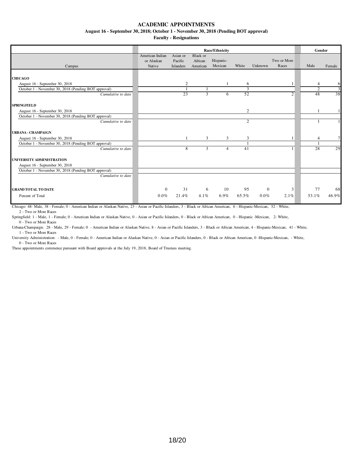**August 16 - September 30, 2018; October 1 - November 30, 2018 (Pending BOT approval)**

**Faculty - Resignations**

|                                                      |                                         | Gender                                  |                                 |                      |                |              |                      |                |                |
|------------------------------------------------------|-----------------------------------------|-----------------------------------------|---------------------------------|----------------------|----------------|--------------|----------------------|----------------|----------------|
| Campus                                               | American Indian<br>or Alaskan<br>Native | Asian or<br>Pacific<br><b>Islanders</b> | Black or<br>African<br>American | Hispanic-<br>Mexican | White          | Unknown      | Two or More<br>Races | Male           | Female         |
|                                                      |                                         |                                         |                                 |                      |                |              |                      |                |                |
| <b>CHICAGO</b>                                       |                                         |                                         |                                 |                      |                |              |                      |                |                |
| August 16 - September 30, 2018                       |                                         | 2                                       |                                 |                      | 6              |              |                      | 4              | 6              |
| October 1 - November 30, 2018 (Pending BOT approval) |                                         |                                         |                                 |                      | 3              |              |                      | $\overline{c}$ | $\overline{3}$ |
| Cumulative to date                                   |                                         | 23                                      | 3                               | 6                    | 52             |              | $\overline{2}$       | 48             | 38             |
| <b>SPRINGFIELD</b>                                   |                                         |                                         |                                 |                      |                |              |                      |                |                |
| August 16 - September 30, 2018                       |                                         |                                         |                                 |                      | $\overline{c}$ |              |                      |                |                |
| October 1 - November 30, 2018 (Pending BOT approval) |                                         |                                         |                                 |                      |                |              |                      |                |                |
| Cumulative to date                                   |                                         |                                         |                                 |                      | $\overline{2}$ |              |                      |                |                |
| <b>URBANA - CHAMPAIGN</b>                            |                                         |                                         |                                 |                      |                |              |                      |                |                |
| August 16 - September 30, 2018                       |                                         |                                         | 3                               | 3                    | 3              |              |                      | $\overline{4}$ |                |
| October 1 - November 30, 2018 (Pending BOT approval) |                                         |                                         |                                 |                      |                |              |                      |                |                |
| Cumulative to date                                   |                                         | 8                                       | 3                               | 4                    | 41             |              |                      | 28             | 29             |
| UNIVERSITY ADMINISTRATION                            |                                         |                                         |                                 |                      |                |              |                      |                |                |
| August 16 - September 30, 2018                       |                                         |                                         |                                 |                      |                |              |                      |                |                |
| October 1 - November 30, 2018 (Pending BOT approval) |                                         |                                         |                                 |                      |                |              |                      |                |                |
| Cumulative to date                                   |                                         |                                         |                                 |                      |                |              |                      |                |                |
| <b>GRAND TOTAL TO DATE</b>                           | $\mathbf{0}$                            | 31                                      | 6                               | 10                   | 95             | $\mathbf{0}$ | 3                    | 77             | 68             |
|                                                      | $0.0\%$                                 |                                         |                                 | 6.9%                 |                |              |                      | 53.1%          | 46.9%          |
| Percent of Total                                     |                                         | 21.4%                                   | $4.1\%$                         |                      | 65.5%          | $0.0\%$      | 2.1%                 |                |                |

Chicago: 48- Male, 38 - Female; 0 - American Indian or Alaskan Native, 23 - Asian or Pacific Islanders, 3 - Black or African American, 6 - Hispanic-Mexican, 52 - White, 2 - Two or More Races

Springfield: 1 - Male, 1 - Female; 0 - American Indian or Alaskan Native, 0 - Asian or Pacific Islanders, 0 - Black or African American, 0 - Hispanic -Mexican, 2- White, 0 - Two or More Races

Urbana-Champaign: 28 - Male, 29 - Female; 0 - American Indian or Alaskan Native, 8 - Asian or Pacific Islanders, 3 - Black or African American, 4 - Hispanic-Mexican, 41 - White, 1 - Two or More Races

University Administration: - Male, 0 - Female; 0 - American Indian or Alaskan Native, 0 - Asian or Pacific Islanders, 0 - Black or African American, 0 -Hispanic-Mexican, - White, 0 - Two or More Races

These appointments commence pursuant with Board approvals at the July 19, 2018, Board of Trustees meeting.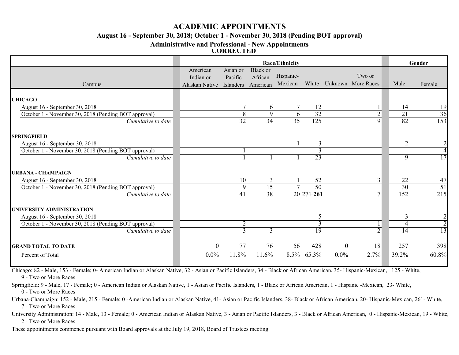### **August 16 - September 30, 2018; October 1 - November 30, 2018 (Pending BOT approval)**

**Administrative and Professional - New Appointments**

**CORRECTED**

|                                                      |                          |                     | Gender                     |           |                |                  |                    |                |                |
|------------------------------------------------------|--------------------------|---------------------|----------------------------|-----------|----------------|------------------|--------------------|----------------|----------------|
|                                                      | American<br>Indian or    | Asian or<br>Pacific | <b>Black</b> or<br>African | Hispanic- |                |                  | Two or             |                |                |
| Campus                                               | Alaskan Native Islanders |                     | American                   | Mexican   | White          |                  | Unknown More Races | Male           | Female         |
| <b>CHICAGO</b>                                       |                          |                     |                            |           |                |                  |                    |                |                |
| August 16 - September 30, 2018                       |                          |                     | 6                          |           | 12             |                  |                    | 14             | 19             |
| October 1 - November 30, 2018 (Pending BOT approval) |                          | $\overline{8}$      | 9                          | 6         | 32             |                  | $\overline{2}$     | 21             | 36             |
| Cumulative to date                                   |                          | 32                  | 34                         | 35        | 125            |                  | 9                  | 82             | 153            |
| <b>SPRINGFIELD</b>                                   |                          |                     |                            |           |                |                  |                    |                |                |
| August 16 - September 30, 2018                       |                          |                     |                            |           | $\overline{3}$ |                  |                    | $\overline{2}$ | $\overline{2}$ |
| October 1 - November 30, 2018 (Pending BOT approval) |                          |                     |                            |           |                |                  |                    |                | 4              |
| Cumulative to date                                   |                          |                     |                            |           | 23             |                  |                    | $\overline{9}$ | 17             |
| <b>URBANA - CHAMPAIGN</b>                            |                          |                     |                            |           |                |                  |                    |                |                |
| August 16 - September 30, 2018                       |                          | 10                  | 3                          |           | 52             |                  | 3                  | 22             | 47             |
| October 1 - November 30, 2018 (Pending BOT approval) |                          | 9                   | $\overline{15}$            |           | 50             |                  |                    | 30             | 51             |
| Cumulative to date                                   |                          | 41                  | 38                         |           | 20 27 1-261    |                  | 7                  | 152            | 215            |
| UNIVERSITY ADMINISTRATION                            |                          |                     |                            |           |                |                  |                    |                |                |
| August 16 - September 30, 2018                       |                          |                     |                            |           | 5              |                  |                    | 3              |                |
| October 1 - November 30, 2018 (Pending BOT approval) |                          | $\overline{2}$      |                            |           | $\overline{3}$ |                  |                    | 4              | $\overline{2}$ |
| Cumulative to date                                   |                          | $\overline{3}$      | $\overline{3}$             |           | 19             |                  | $\overline{2}$     | 14             | 13             |
| <b>GRAND TOTAL TO DATE</b>                           | $\theta$                 | 77                  | 76                         | 56        | 428            | $\boldsymbol{0}$ | 18                 | 257            | 398            |
| Percent of Total                                     | $0.0\%$                  | 11.8%               | 11.6%                      | 8.5%      | 65.3%          | $0.0\%$          | 2.7%               | 39.2%          | 60.8%          |

Chicago: 82 - Male, 153 - Female; 0- American Indian or Alaskan Native, 32 - Asian or Pacific Islanders, 34 - Black or African American, 35- Hispanic-Mexican, 125 - White, 9 - Two or More Races

Springfield: 9 - Male, 17 - Female; 0 - American Indian or Alaskan Native, 1 - Asian or Pacific Islanders, 1 - Black or African American, 1 - Hispanic -Mexican, 23- White, 0 - Two or More Races

Urbana-Champaign: 152 - Male, 215 - Female; 0 -American Indian or Alaskan Native, 41- Asian or Pacific Islanders, 38- Black or African American, 20- Hispanic-Mexican, 261- White, 7 - Two or More Races

University Administration: 14 - Male, 13 - Female; 0 - American Indian or Alaskan Native, 3 - Asian or Pacific Islanders, 3 - Black or African American, 0 - Hispanic-Mexican, 19 - White, 2 - Two or More Races

These appointments commence pursuant with Board approvals at the July 19, 2018, Board of Trustees meeting.